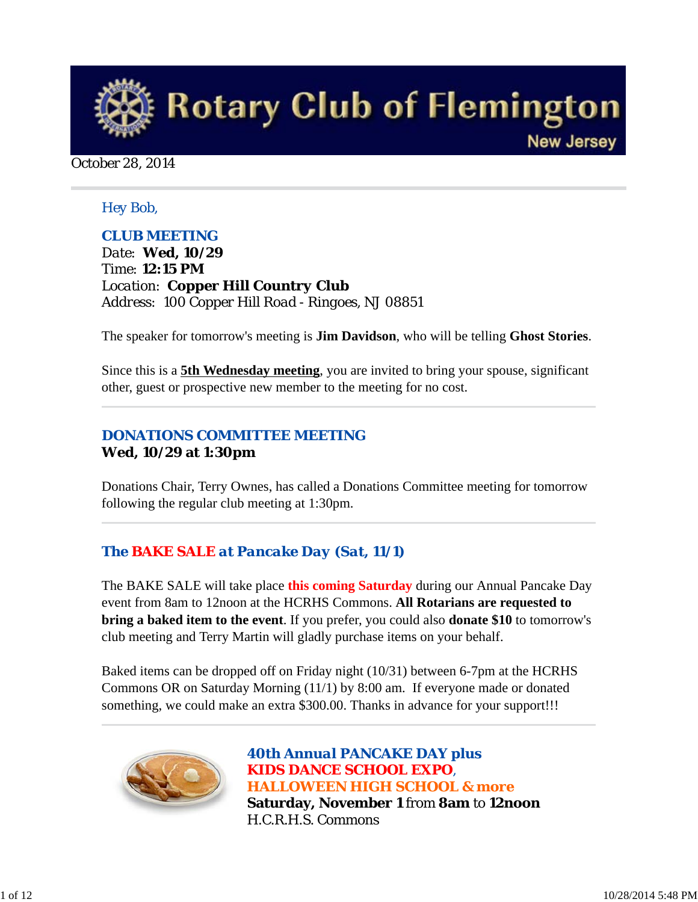

October 28, 2014

#### *Hey Bob,*

### *CLUB MEETING*

*Date: Wed, 10/29 Time: 12:15 PM Location: Copper Hill Country Club Address: 100 Copper Hill Road - Ringoes, NJ 08851*

The speaker for tomorrow's meeting is **Jim Davidson**, who will be telling **Ghost Stories**.

Since this is a **5th Wednesday meeting**, you are invited to bring your spouse, significant other, guest or prospective new member to the meeting for no cost.

## *DONATIONS COMMITTEE MEETING* **Wed, 10/29 at 1:30pm**

Donations Chair, Terry Ownes, has called a Donations Committee meeting for tomorrow following the regular club meeting at 1:30pm.

## *The BAKE SALE at Pancake Day (Sat, 11/1)*

The BAKE SALE will take place **this coming Saturday** during our Annual Pancake Day event from 8am to 12noon at the HCRHS Commons. **All Rotarians are requested to bring a baked item to the event**. If you prefer, you could also **donate \$10** to tomorrow's club meeting and Terry Martin will gladly purchase items on your behalf.

Baked items can be dropped off on Friday night (10/31) between 6-7pm at the HCRHS Commons OR on Saturday Morning (11/1) by 8:00 am. If everyone made or donated something, we could make an extra \$300.00. Thanks in advance for your support!!!



*40th Annual PANCAKE DAY plus KIDS DANCE SCHOOL EXPO, HALLOWEEN HIGH SCHOOL & more*  **Saturday, November 1** from **8am** to **12noon** H.C.R.H.S. Commons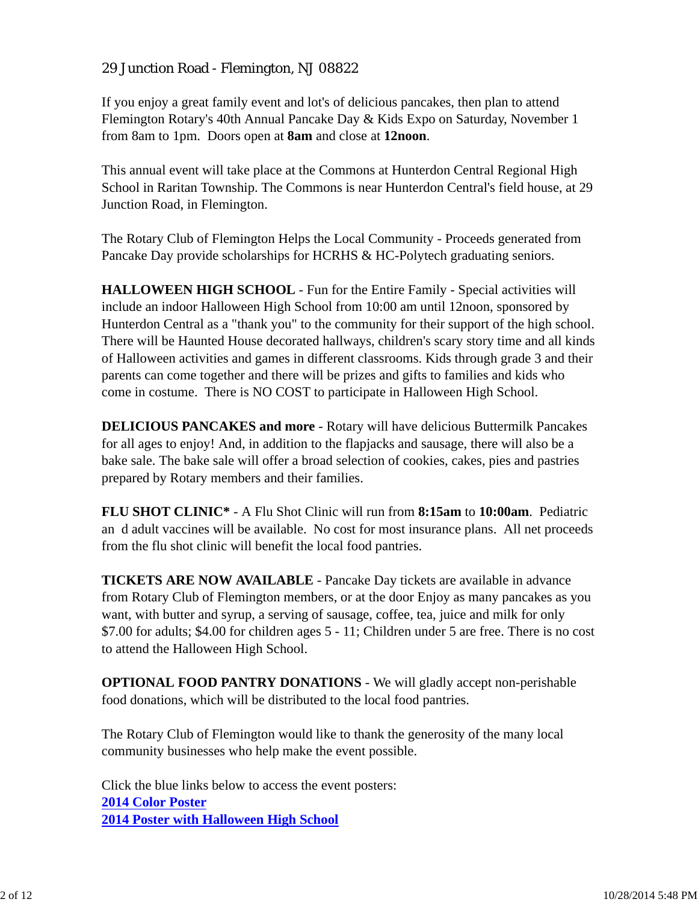### 29 Junction Road - Flemington, NJ 08822

If you enjoy a great family event and lot's of delicious pancakes, then plan to attend Flemington Rotary's 40th Annual Pancake Day & Kids Expo on Saturday, November 1 from 8am to 1pm. Doors open at **8am** and close at **12noon**.

This annual event will take place at the Commons at Hunterdon Central Regional High School in Raritan Township. The Commons is near Hunterdon Central's field house, at 29 Junction Road, in Flemington.

The Rotary Club of Flemington Helps the Local Community - Proceeds generated from Pancake Day provide scholarships for HCRHS & HC-Polytech graduating seniors.

**HALLOWEEN HIGH SCHOOL** - Fun for the Entire Family - Special activities will include an indoor Halloween High School from 10:00 am until 12noon, sponsored by Hunterdon Central as a "thank you" to the community for their support of the high school. There will be Haunted House decorated hallways, children's scary story time and all kinds of Halloween activities and games in different classrooms. Kids through grade 3 and their parents can come together and there will be prizes and gifts to families and kids who come in costume. There is NO COST to participate in Halloween High School.

**DELICIOUS PANCAKES and more** - Rotary will have delicious Buttermilk Pancakes for all ages to enjoy! And, in addition to the flapjacks and sausage, there will also be a bake sale. The bake sale will offer a broad selection of cookies, cakes, pies and pastries prepared by Rotary members and their families.

**FLU SHOT CLINIC\*** - A Flu Shot Clinic will run from **8:15am** to **10:00am**. Pediatric an d adult vaccines will be available. No cost for most insurance plans. All net proceeds from the flu shot clinic will benefit the local food pantries.

**TICKETS ARE NOW AVAILABLE** - Pancake Day tickets are available in advance from Rotary Club of Flemington members, or at the door Enjoy as many pancakes as you want, with butter and syrup, a serving of sausage, coffee, tea, juice and milk for only \$7.00 for adults; \$4.00 for children ages 5 - 11; Children under 5 are free. There is no cost to attend the Halloween High School.

**OPTIONAL FOOD PANTRY DONATIONS** - We will gladly accept non-perishable food donations, which will be distributed to the local food pantries.

The Rotary Club of Flemington would like to thank the generosity of the many local community businesses who help make the event possible.

Click the blue links below to access the event posters: **2014 Color Poster 2014 Poster with Halloween High School**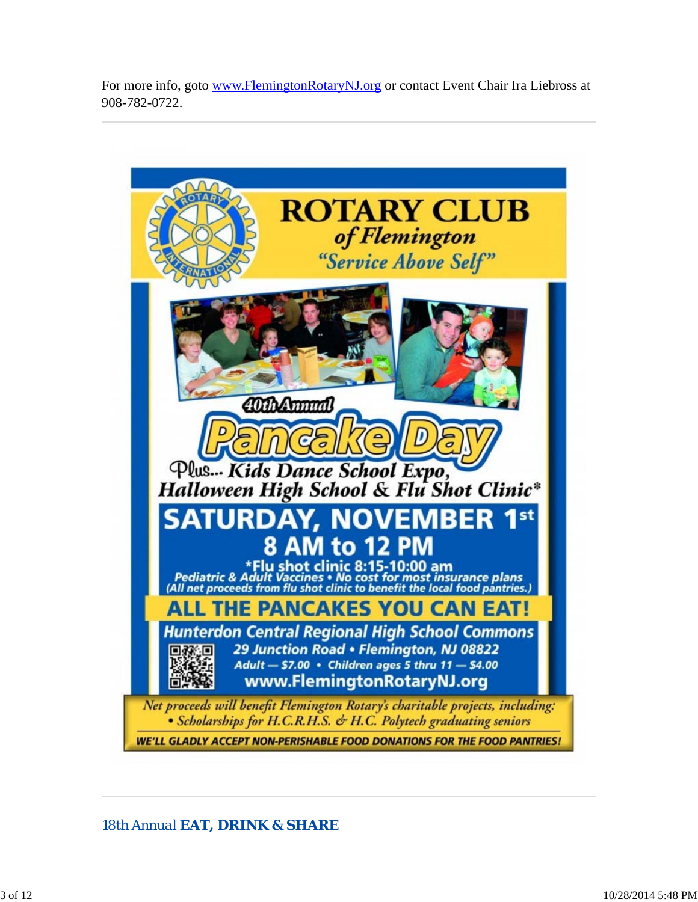For more info, goto www.FlemingtonRotaryNJ.org or contact Event Chair Ira Liebross at 908-782-0722.



*18th Annual EAT, DRINK & SHARE*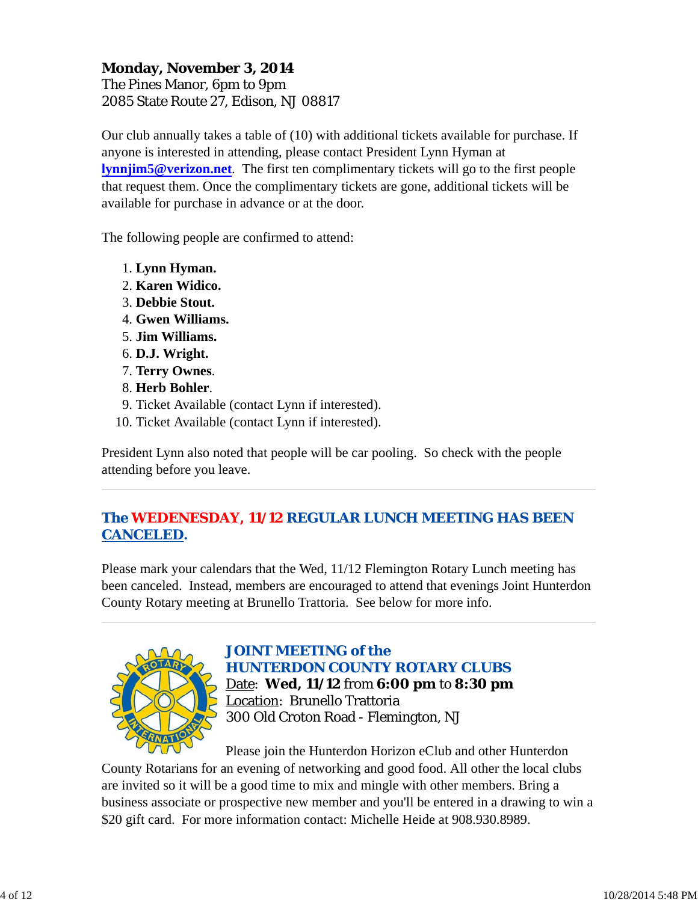### **Monday, November 3, 2014** The Pines Manor, 6pm to 9pm 2085 State Route 27, Edison, NJ 08817

Our club annually takes a table of (10) with additional tickets available for purchase. If anyone is interested in attending, please contact President Lynn Hyman at **lynnjim5@verizon.net**. The first ten complimentary tickets will go to the first people that request them. Once the complimentary tickets are gone, additional tickets will be available for purchase in advance or at the door.

The following people are confirmed to attend:

- 1. **Lynn Hyman.**
- 2. **Karen Widico.**
- 3. **Debbie Stout.**
- 4. **Gwen Williams.**
- 5. **Jim Williams.**
- 6. **D.J. Wright.**
- 7. **Terry Ownes**.
- 8. **Herb Bohler**.
- 9. Ticket Available (contact Lynn if interested).
- 10. Ticket Available (contact Lynn if interested).

President Lynn also noted that people will be car pooling. So check with the people attending before you leave.

## *The WEDENESDAY, 11/12 REGULAR LUNCH MEETING HAS BEEN CANCELED.*

Please mark your calendars that the Wed, 11/12 Flemington Rotary Lunch meeting has been canceled. Instead, members are encouraged to attend that evenings Joint Hunterdon County Rotary meeting at Brunello Trattoria. See below for more info.



*JOINT MEETING of the HUNTERDON COUNTY ROTARY CLUBS* Date: **Wed, 11/12** from **6:00 pm** to **8:30 pm** Location: Brunello Trattoria 300 Old Croton Road - Flemington, NJ

Please join the Hunterdon Horizon eClub and other Hunterdon County Rotarians for an evening of networking and good food. All other the local clubs are invited so it will be a good time to mix and mingle with other members. Bring a business associate or prospective new member and you'll be entered in a drawing to win a \$20 gift card. For more information contact: Michelle Heide at 908.930.8989.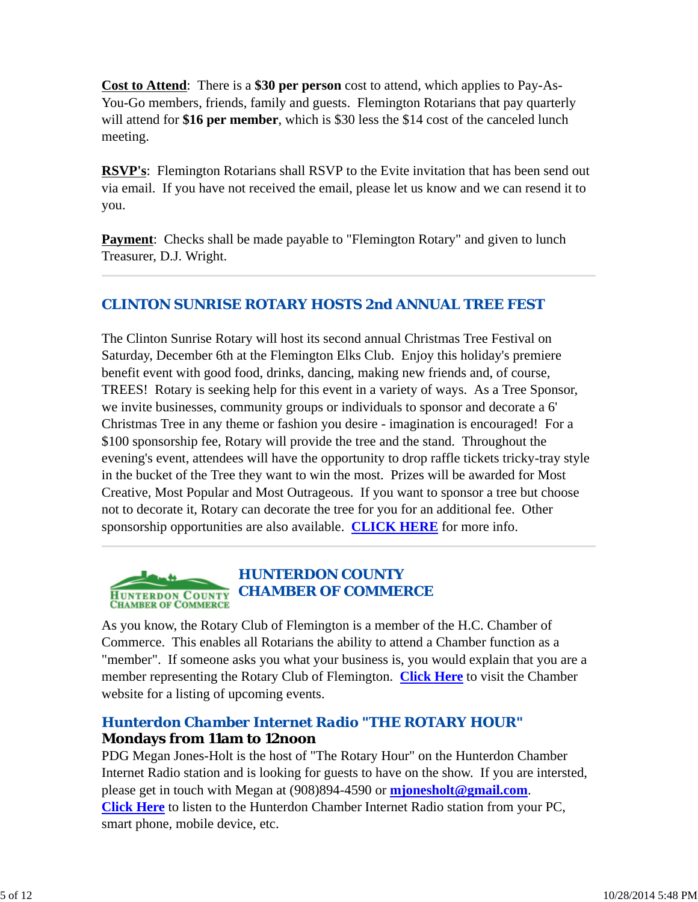**Cost to Attend**: There is a **\$30 per person** cost to attend, which applies to Pay-As-You-Go members, friends, family and guests. Flemington Rotarians that pay quarterly will attend for **\$16 per member**, which is \$30 less the \$14 cost of the canceled lunch meeting.

**RSVP's**: Flemington Rotarians shall RSVP to the Evite invitation that has been send out via email. If you have not received the email, please let us know and we can resend it to you.

**Payment:** Checks shall be made payable to "Flemington Rotary" and given to lunch Treasurer, D.J. Wright.

## *CLINTON SUNRISE ROTARY HOSTS 2nd ANNUAL TREE FEST*

The Clinton Sunrise Rotary will host its second annual Christmas Tree Festival on Saturday, December 6th at the Flemington Elks Club. Enjoy this holiday's premiere benefit event with good food, drinks, dancing, making new friends and, of course, TREES! Rotary is seeking help for this event in a variety of ways. As a Tree Sponsor, we invite businesses, community groups or individuals to sponsor and decorate a 6' Christmas Tree in any theme or fashion you desire - imagination is encouraged! For a \$100 sponsorship fee, Rotary will provide the tree and the stand. Throughout the evening's event, attendees will have the opportunity to drop raffle tickets tricky-tray style in the bucket of the Tree they want to win the most. Prizes will be awarded for Most Creative, Most Popular and Most Outrageous. If you want to sponsor a tree but choose not to decorate it, Rotary can decorate the tree for you for an additional fee. Other sponsorship opportunities are also available. **CLICK HERE** for more info.



As you know, the Rotary Club of Flemington is a member of the H.C. Chamber of Commerce. This enables all Rotarians the ability to attend a Chamber function as a "member". If someone asks you what your business is, you would explain that you are a member representing the Rotary Club of Flemington. **Click Here** to visit the Chamber website for a listing of upcoming events.

# *Hunterdon Chamber Internet Radio "THE ROTARY HOUR"* **Mondays from 11am to 12noon**

PDG Megan Jones-Holt is the host of "The Rotary Hour" on the Hunterdon Chamber Internet Radio station and is looking for guests to have on the show. If you are intersted, please get in touch with Megan at (908)894-4590 or **mjonesholt@gmail.com**. **Click Here** to listen to the Hunterdon Chamber Internet Radio station from your PC, smart phone, mobile device, etc.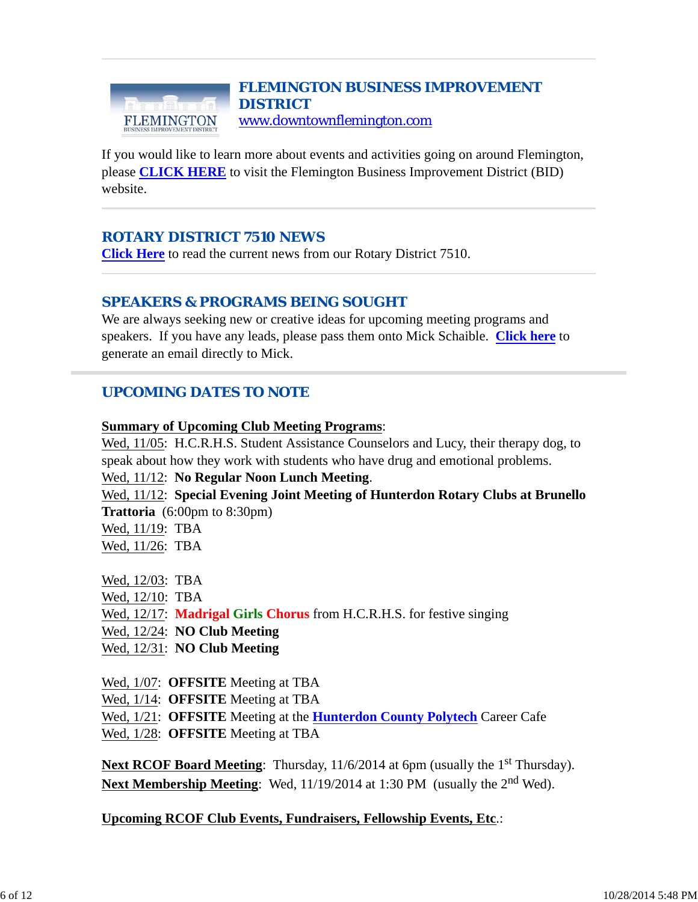#### *FLEMINGTON BUSINESS IMPROVEMENT DISTRICT* www.downtownflemington.com FLEMINGTON

If you would like to learn more about events and activities going on around Flemington, please **CLICK HERE** to visit the Flemington Business Improvement District (BID) website.

## *ROTARY DISTRICT 7510 NEWS*

**Click Here** to read the current news from our Rotary District 7510.

## *SPEAKERS & PROGRAMS BEING SOUGHT*

We are always seeking new or creative ideas for upcoming meeting programs and speakers. If you have any leads, please pass them onto Mick Schaible. **Click here** to generate an email directly to Mick.

## *UPCOMING DATES TO NOTE*

#### **Summary of Upcoming Club Meeting Programs**:

Wed, 11/05: H.C.R.H.S. Student Assistance Counselors and Lucy, their therapy dog, to speak about how they work with students who have drug and emotional problems.

#### Wed, 11/12: **No Regular Noon Lunch Meeting**.

Wed, 11/12: **Special Evening Joint Meeting of Hunterdon Rotary Clubs at Brunello Trattoria** (6:00pm to 8:30pm)

| Wed, 11/19: TBA |  |
|-----------------|--|
| Wed, 11/26: TBA |  |

- Wed, 12/03: TBA Wed, 12/10: TBA Wed, 12/17: **Madrigal Girls Chorus** from H.C.R.H.S. for festive singing Wed, 12/24: **NO Club Meeting** Wed, 12/31: **NO Club Meeting**
- Wed, 1/07: **OFFSITE** Meeting at TBA
- Wed, 1/14: **OFFSITE** Meeting at TBA
- Wed, 1/21: **OFFSITE** Meeting at the **Hunterdon County Polytech** Career Cafe
- Wed, 1/28: **OFFSITE** Meeting at TBA

**Next RCOF Board Meeting**: Thursday, 11/6/2014 at 6pm (usually the 1<sup>st</sup> Thursday). **Next Membership Meeting**: Wed, 11/19/2014 at 1:30 PM (usually the 2nd Wed).

#### **Upcoming RCOF Club Events, Fundraisers, Fellowship Events, Etc**.: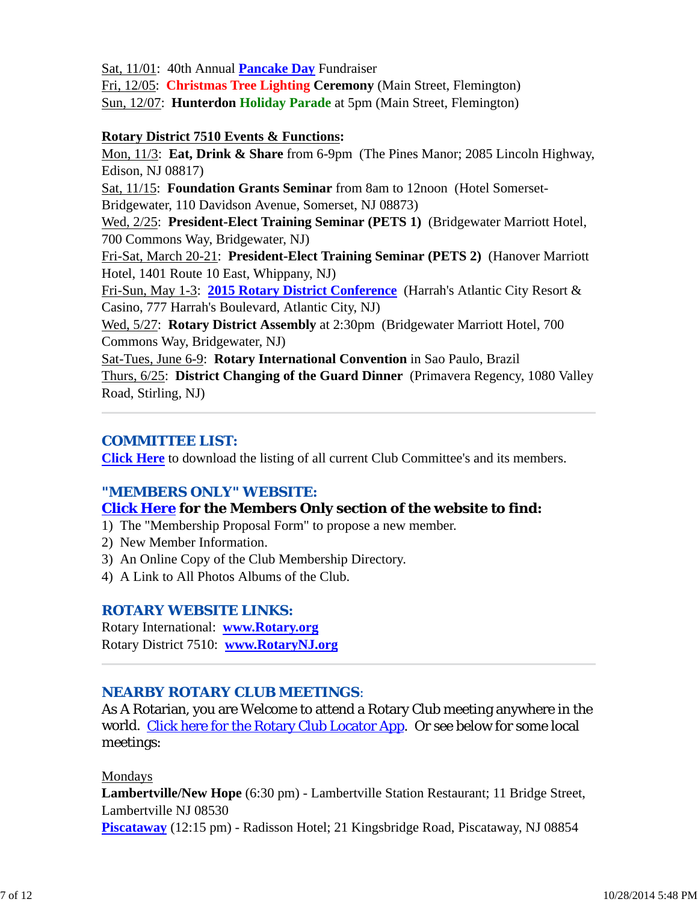Sat, 11/01: 40th Annual **Pancake Day** Fundraiser

Fri, 12/05: **Christmas Tree Lighting Ceremony** (Main Street, Flemington) Sun, 12/07: **Hunterdon Holiday Parade** at 5pm (Main Street, Flemington)

#### **Rotary District 7510 Events & Functions:**

Mon, 11/3: **Eat, Drink & Share** from 6-9pm (The Pines Manor; 2085 Lincoln Highway, Edison, NJ 08817)

Sat, 11/15: **Foundation Grants Seminar** from 8am to 12noon (Hotel Somerset-Bridgewater, 110 Davidson Avenue, Somerset, NJ 08873)

Wed, 2/25: **President-Elect Training Seminar (PETS 1)** (Bridgewater Marriott Hotel, 700 Commons Way, Bridgewater, NJ)

Fri-Sat, March 20-21: **President-Elect Training Seminar (PETS 2)** (Hanover Marriott Hotel, 1401 Route 10 East, Whippany, NJ)

Fri-Sun, May 1-3: **2015 Rotary District Conference** (Harrah's Atlantic City Resort & Casino, 777 Harrah's Boulevard, Atlantic City, NJ)

Wed, 5/27: **Rotary District Assembly** at 2:30pm (Bridgewater Marriott Hotel, 700 Commons Way, Bridgewater, NJ)

Sat-Tues, June 6-9: **Rotary International Convention** in Sao Paulo, Brazil Thurs, 6/25: **District Changing of the Guard Dinner** (Primavera Regency, 1080 Valley Road, Stirling, NJ)

## *COMMITTEE LIST:*

**Click Here** to download the listing of all current Club Committee's and its members.

## *"MEMBERS ONLY" WEBSITE:*

## **Click Here for the Members Only section of the website to find:**

- 1) The "Membership Proposal Form" to propose a new member.
- 2) New Member Information.
- 3) An Online Copy of the Club Membership Directory.
- 4) A Link to All Photos Albums of the Club.

## *ROTARY WEBSITE LINKS:*

Rotary International: **www.Rotary.org** Rotary District 7510: **www.RotaryNJ.org**

## *NEARBY ROTARY CLUB MEETINGS:*

As A Rotarian, you are Welcome to attend a Rotary Club meeting anywhere in the world. Click here for the Rotary Club Locator App. Or see below for some local meetings:

#### Mondays

**Lambertville/New Hope** (6:30 pm) - Lambertville Station Restaurant; 11 Bridge Street, Lambertville NJ 08530 **Piscataway** (12:15 pm) - Radisson Hotel; 21 Kingsbridge Road, Piscataway, NJ 08854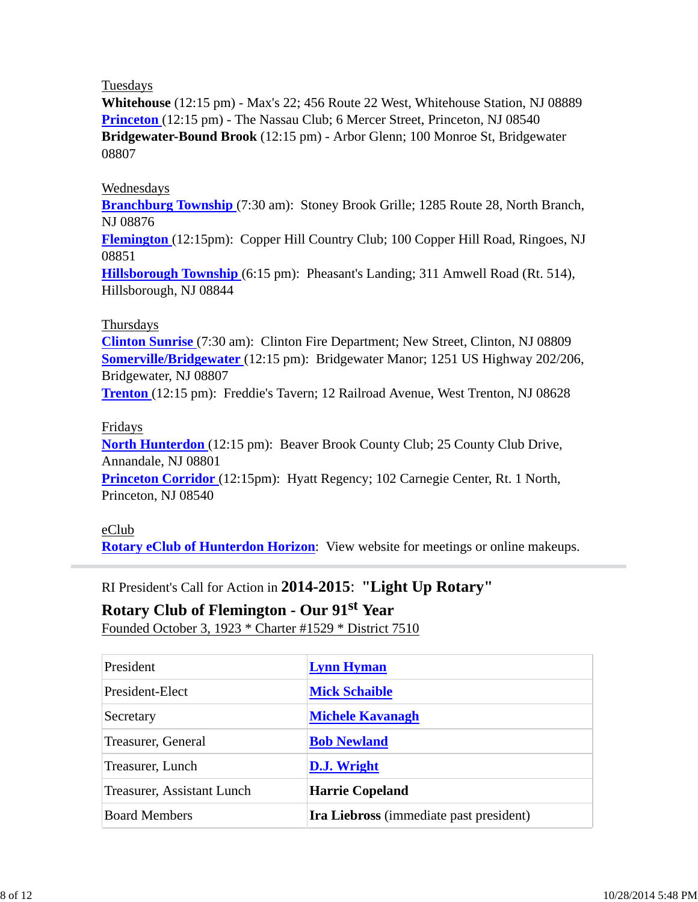#### Tuesdays

**Whitehouse** (12:15 pm) - Max's 22; 456 Route 22 West, Whitehouse Station, NJ 08889 **Princeton** (12:15 pm) - The Nassau Club; 6 Mercer Street, Princeton, NJ 08540 **Bridgewater-Bound Brook** (12:15 pm) - Arbor Glenn; 100 Monroe St, Bridgewater 08807

#### Wednesdays

**Branchburg Township** (7:30 am): Stoney Brook Grille; 1285 Route 28, North Branch, NJ 08876

**Flemington** (12:15pm): Copper Hill Country Club; 100 Copper Hill Road, Ringoes, NJ 08851

**Hillsborough Township** (6:15 pm): Pheasant's Landing; 311 Amwell Road (Rt. 514), Hillsborough, NJ 08844

#### Thursdays

**Clinton Sunrise** (7:30 am): Clinton Fire Department; New Street, Clinton, NJ 08809 **Somerville/Bridgewater** (12:15 pm): Bridgewater Manor; 1251 US Highway 202/206, Bridgewater, NJ 08807

**Trenton** (12:15 pm): Freddie's Tavern; 12 Railroad Avenue, West Trenton, NJ 08628

#### Fridays

**North Hunterdon** (12:15 pm): Beaver Brook County Club; 25 County Club Drive, Annandale, NJ 08801

**Princeton Corridor** (12:15pm): Hyatt Regency; 102 Carnegie Center, Rt. 1 North, Princeton, NJ 08540

#### eClub

**Rotary eClub of Hunterdon Horizon**: View website for meetings or online makeups.

## RI President's Call for Action in **2014-2015**: **"Light Up Rotary"**

### **Rotary Club of Flemington - Our 91st Year**

Founded October 3, 1923 \* Charter #1529 \* District 7510

| President                  | <b>Lynn Hyman</b>                              |
|----------------------------|------------------------------------------------|
| President-Elect            | <b>Mick Schaible</b>                           |
| Secretary                  | <b>Michele Kavanagh</b>                        |
| Treasurer, General         | <b>Bob Newland</b>                             |
| Treasurer, Lunch           | <b>D.J.</b> Wright                             |
| Treasurer, Assistant Lunch | <b>Harrie Copeland</b>                         |
| <b>Board Members</b>       | <b>Ira Liebross</b> (immediate past president) |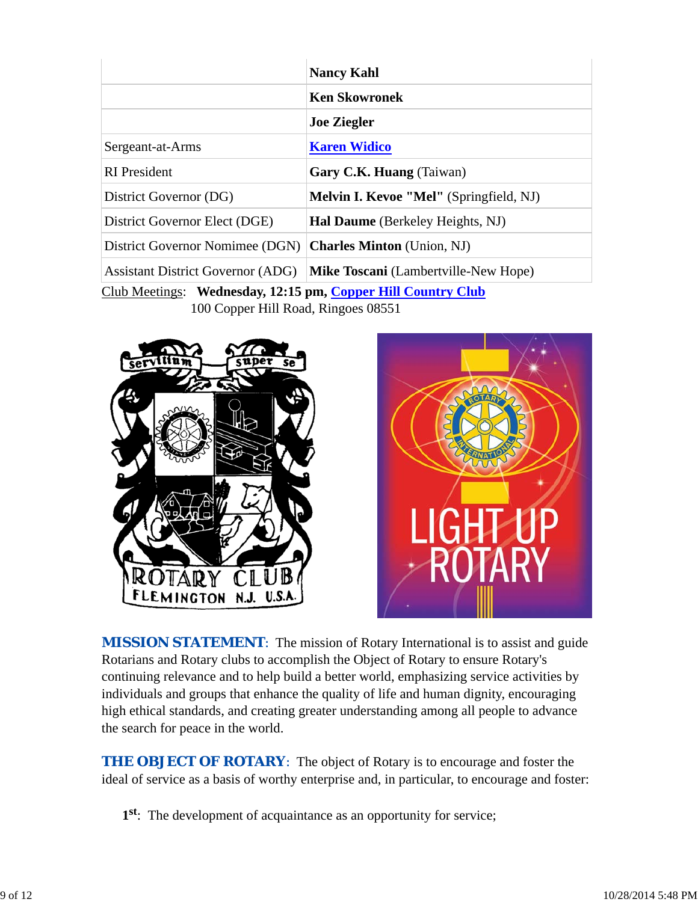|                                                              | <b>Nancy Kahl</b>                              |  |  |
|--------------------------------------------------------------|------------------------------------------------|--|--|
|                                                              | <b>Ken Skowronek</b>                           |  |  |
|                                                              | <b>Joe Ziegler</b>                             |  |  |
| Sergeant-at-Arms                                             | <b>Karen Widico</b>                            |  |  |
| <b>RI</b> President                                          | Gary C.K. Huang (Taiwan)                       |  |  |
| District Governor (DG)                                       | <b>Melvin I. Kevoe "Mel"</b> (Springfield, NJ) |  |  |
| District Governor Elect (DGE)                                | <b>Hal Daume</b> (Berkeley Heights, NJ)        |  |  |
| District Governor Nomimee (DGN)                              | <b>Charles Minton</b> (Union, NJ)              |  |  |
| <b>Assistant District Governor (ADG)</b>                     | <b>Mike Toscani</b> (Lambertville-New Hope)    |  |  |
| Club Meetings: Wednesday, 12:15 pm, Copper Hill Country Club |                                                |  |  |

100 Copper Hill Road, Ringoes 08551





**MISSION STATEMENT:** The mission of Rotary International is to assist and guide Rotarians and Rotary clubs to accomplish the Object of Rotary to ensure Rotary's continuing relevance and to help build a better world, emphasizing service activities by individuals and groups that enhance the quality of life and human dignity, encouraging high ethical standards, and creating greater understanding among all people to advance the search for peace in the world.

*THE OBJECT OF ROTARY*: The object of Rotary is to encourage and foster the ideal of service as a basis of worthy enterprise and, in particular, to encourage and foster:

**1st**: The development of acquaintance as an opportunity for service;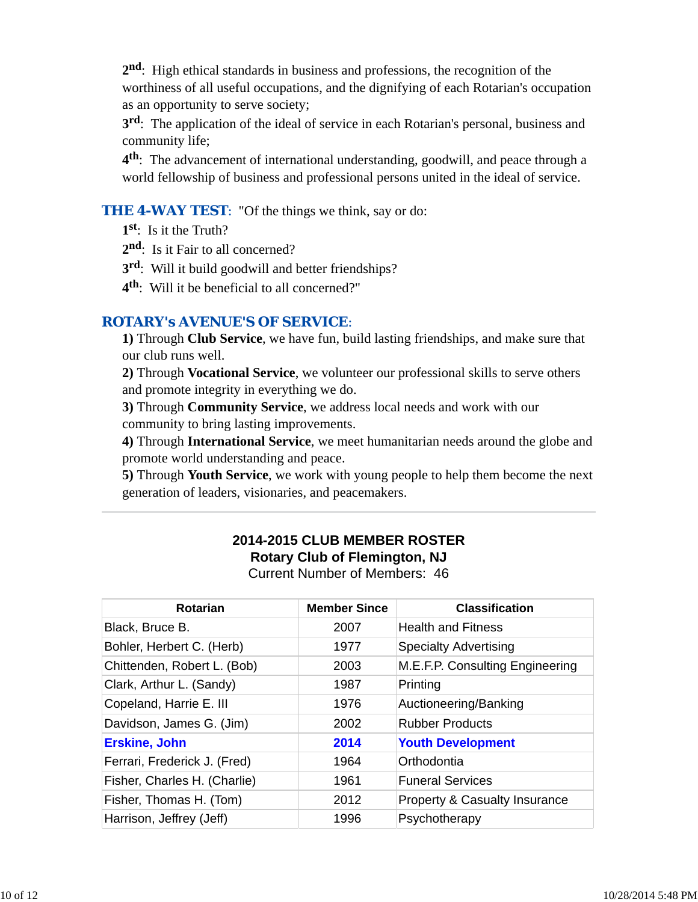**2nd**: High ethical standards in business and professions, the recognition of the worthiness of all useful occupations, and the dignifying of each Rotarian's occupation as an opportunity to serve society;

**3rd**: The application of the ideal of service in each Rotarian's personal, business and community life;

**4th**: The advancement of international understanding, goodwill, and peace through a world fellowship of business and professional persons united in the ideal of service.

#### **THE 4-WAY TEST:** "Of the things we think, say or do:

**1st**: Is it the Truth?

- 2<sup>nd</sup>: Is it Fair to all concerned?
- **3rd**: Will it build goodwill and better friendships?
- **4th**: Will it be beneficial to all concerned?"

#### *ROTARY's AVENUE'S OF SERVICE*:

**1)** Through **Club Service**, we have fun, build lasting friendships, and make sure that our club runs well.

**2)** Through **Vocational Service**, we volunteer our professional skills to serve others and promote integrity in everything we do.

**3)** Through **Community Service**, we address local needs and work with our community to bring lasting improvements.

**4)** Through **International Service**, we meet humanitarian needs around the globe and promote world understanding and peace.

**5)** Through **Youth Service**, we work with young people to help them become the next generation of leaders, visionaries, and peacemakers.

# **2014-2015 CLUB MEMBER ROSTER Rotary Club of Flemington, NJ**

Current Number of Members: 46

| <b>Rotarian</b>              | <b>Member Since</b> | <b>Classification</b>                    |
|------------------------------|---------------------|------------------------------------------|
| Black, Bruce B.              | 2007                | <b>Health and Fitness</b>                |
| Bohler, Herbert C. (Herb)    | 1977                | <b>Specialty Advertising</b>             |
| Chittenden, Robert L. (Bob)  | 2003                | M.E.F.P. Consulting Engineering          |
| Clark, Arthur L. (Sandy)     | 1987                | Printing                                 |
| Copeland, Harrie E. III      | 1976                | Auctioneering/Banking                    |
| Davidson, James G. (Jim)     | 2002                | <b>Rubber Products</b>                   |
| <b>Erskine, John</b>         | 2014                | <b>Youth Development</b>                 |
| Ferrari, Frederick J. (Fred) | 1964                | Orthodontia                              |
| Fisher, Charles H. (Charlie) | 1961                | <b>Funeral Services</b>                  |
| Fisher, Thomas H. (Tom)      | 2012                | <b>Property &amp; Casualty Insurance</b> |
| Harrison, Jeffrey (Jeff)     | 1996                | Psychotherapy                            |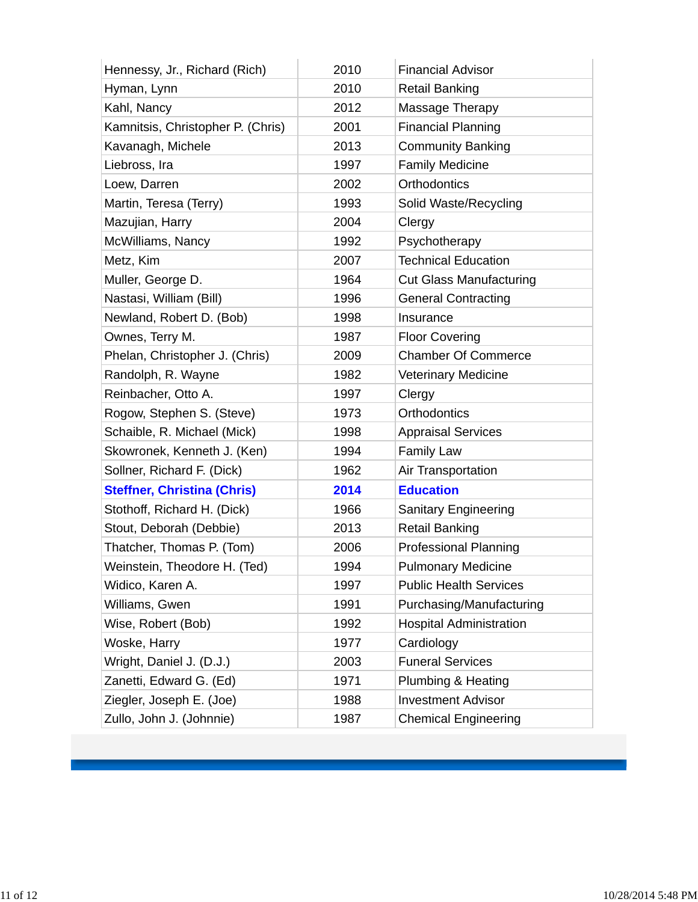| Hennessy, Jr., Richard (Rich)      | 2010 | <b>Financial Advisor</b>       |
|------------------------------------|------|--------------------------------|
| Hyman, Lynn                        | 2010 | <b>Retail Banking</b>          |
| Kahl, Nancy                        | 2012 | Massage Therapy                |
| Kamnitsis, Christopher P. (Chris)  | 2001 | <b>Financial Planning</b>      |
| Kavanagh, Michele                  | 2013 | <b>Community Banking</b>       |
| Liebross, Ira                      | 1997 | <b>Family Medicine</b>         |
| Loew, Darren                       | 2002 | Orthodontics                   |
| Martin, Teresa (Terry)             | 1993 | Solid Waste/Recycling          |
| Mazujian, Harry                    | 2004 | Clergy                         |
| McWilliams, Nancy                  | 1992 | Psychotherapy                  |
| Metz, Kim                          | 2007 | <b>Technical Education</b>     |
| Muller, George D.                  | 1964 | <b>Cut Glass Manufacturing</b> |
| Nastasi, William (Bill)            | 1996 | <b>General Contracting</b>     |
| Newland, Robert D. (Bob)           | 1998 | Insurance                      |
| Ownes, Terry M.                    | 1987 | <b>Floor Covering</b>          |
| Phelan, Christopher J. (Chris)     | 2009 | <b>Chamber Of Commerce</b>     |
| Randolph, R. Wayne                 | 1982 | <b>Veterinary Medicine</b>     |
| Reinbacher, Otto A.                | 1997 | Clergy                         |
| Rogow, Stephen S. (Steve)          | 1973 | <b>Orthodontics</b>            |
| Schaible, R. Michael (Mick)        | 1998 | <b>Appraisal Services</b>      |
| Skowronek, Kenneth J. (Ken)        | 1994 | <b>Family Law</b>              |
| Sollner, Richard F. (Dick)         | 1962 | Air Transportation             |
| <b>Steffner, Christina (Chris)</b> | 2014 | <b>Education</b>               |
| Stothoff, Richard H. (Dick)        | 1966 | Sanitary Engineering           |
| Stout, Deborah (Debbie)            | 2013 | <b>Retail Banking</b>          |
| Thatcher, Thomas P. (Tom)          | 2006 | Professional Planning          |
| Weinstein, Theodore H. (Ted)       | 1994 | <b>Pulmonary Medicine</b>      |
| Widico, Karen A.                   | 1997 | <b>Public Health Services</b>  |
| Williams, Gwen                     | 1991 | Purchasing/Manufacturing       |
| Wise, Robert (Bob)                 | 1992 | <b>Hospital Administration</b> |
| Woske, Harry                       | 1977 | Cardiology                     |
| Wright, Daniel J. (D.J.)           | 2003 | <b>Funeral Services</b>        |
| Zanetti, Edward G. (Ed)            | 1971 | Plumbing & Heating             |
| Ziegler, Joseph E. (Joe)           | 1988 | <b>Investment Advisor</b>      |
| Zullo, John J. (Johnnie)           | 1987 | <b>Chemical Engineering</b>    |